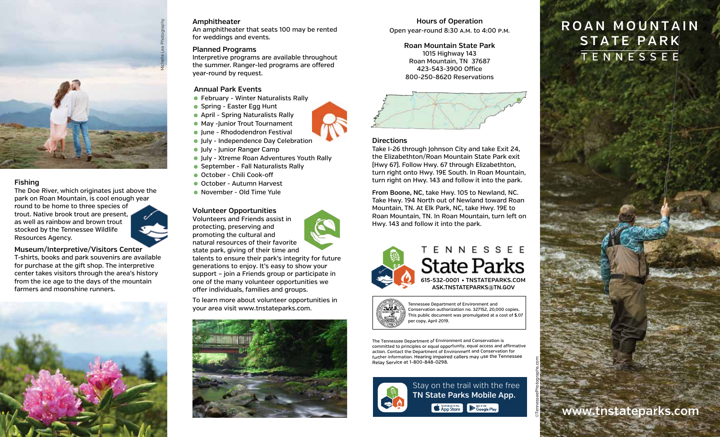

# **Fishing**

The Doe River, which originates just above the park on Roan Mountain, is cool enough year round to be home to three species of trout. Native brook trout are present, as well as rainbow and brown trout stocked by the Tennessee Wildlife Resources Agency.

**Museum/Interpretive/Visitors Center** T-shirts, books and park souvenirs are available for purchase at the gift shop. The interpretive center takes visitors through the area's history from the ice age to the days of the mountain farmers and moonshine runners.



# **Amphitheater**

An amphitheater that seats 100 may be rented for weddings and events.

# **Planned Programs**

Interpretive programs are available throughout the summer. Ranger-led programs are offered year-round by request.

# **Annual Park Events**

- February Winter Naturalists Rally
- Spring Easter Egg Hunt
- April Spring Naturalists Rally
- May -Iunior Trout Tournament
- **Iune Rhododendron Festival**
- Iuly Independence Day Celebration
- July Junior Ranger Camp
- **July Xtreme Roan Adventures Youth Rally**
- September Fall Naturalists Rally
- October Chili Cook-off
- October Autumn Harvest
- November Old Time Yule

# **Volunteer Opportunities**

Volunteers and Friends assist in protecting, preserving and promoting the cultural and natural resources of their favorite state park, giving of their time and

talents to ensure their park's integrity for future generations to enjoy. It's easy to show your support – join a Friends group or participate in one of the many volunteer opportunities we offer individuals, families and groups.

To learn more about volunteer opportunities in your area visit www.tnstateparks.com.



# **Hours of Operation**

**Roan Mountain State Park** 1015 Highway 143 Roan Mountain, TN 37687 423-543-3900 Office 800-250-8620 Reservations



# **Directions**

Take I-26 through Johnson City and take Exit 24, the Elizabethton/Roan Mountain State Park exit (Hwy 67). Follow Hwy. 67 through Elizabethton, turn right onto Hwy. 19E South. In Roan Mountain, turn right on Hwy. 143 and follow it into the park.

**From Boone, NC**, take Hwy. 105 to Newland, NC. Take Hwy. 194 North out of Newland toward Roan Mountain, TN. At Elk Park, NC, take Hwy. 19E to Roan Mountain, TN. In Roan Mountain, turn left on Hwy. 143 and follow it into the park.



NNESSEE State Parks **615-532-0001 TNSTATEPARKS.COM • ASK.TNSTATEPARKS@TN.GOV**



Tennessee Department of Environment and Conservation authorization no. 327152, 20,000 copies. This public document was promulgated at a cost of \$.07 per copy, April 2019.

The Tennessee Department of Environment and Conservation is committed to principles or equal opportunity, equal access and affirmative action. Contact the Department of Environment and Conservation for further information. Hearing impaired callers may use the Tennessee Relay Service at 1-800-848-0298.



Stay on the trail with the free **TN State Parks Mobile App.Example 3 App Store** Coogle Play

©TennesseePhotographs.com

# **Open year-round 8:30 A.M. to 4:00 P.M. ROAN MOUNTAIN STATE PARK** TENNESSEE

**www.tnstateparks.com**